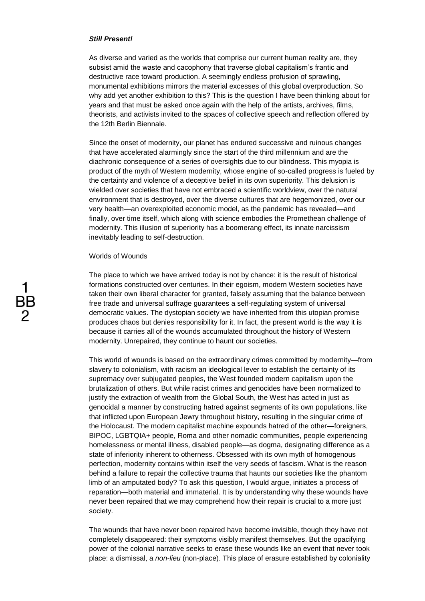# *Still Present!*

As diverse and varied as the worlds that comprise our current human reality are, they subsist amid the waste and cacophony that traverse global capitalism's frantic and destructive race toward production. A seemingly endless profusion of sprawling, monumental exhibitions mirrors the material excesses of this global overproduction. So why add yet another exhibition to this? This is the question I have been thinking about for years and that must be asked once again with the help of the artists, archives, films, theorists, and activists invited to the spaces of collective speech and reflection offered by the 12th Berlin Biennale.

Since the onset of modernity, our planet has endured successive and ruinous changes that have accelerated alarmingly since the start of the third millennium and are the diachronic consequence of a series of oversights due to our blindness. This myopia is product of the myth of Western modernity, whose engine of so-called progress is fueled by the certainty and violence of a deceptive belief in its own superiority. This delusion is wielded over societies that have not embraced a scientific worldview, over the natural environment that is destroyed, over the diverse cultures that are hegemonized, over our very health—an overexploited economic model, as the pandemic has revealed—and finally, over time itself, which along with science embodies the Promethean challenge of modernity. This illusion of superiority has a boomerang effect, its innate narcissism inevitably leading to self-destruction.

# Worlds of Wounds

The place to which we have arrived today is not by chance: it is the result of historical formations constructed over centuries. In their egoism, modern Western societies have taken their own liberal character for granted, falsely assuming that the balance between free trade and universal suffrage guarantees a self-regulating system of universal democratic values. The dystopian society we have inherited from this utopian promise produces chaos but denies responsibility for it. In fact, the present world is the way it is because it carries all of the wounds accumulated throughout the history of Western modernity. Unrepaired, they continue to haunt our societies.

This world of wounds is based on the extraordinary crimes committed by modernity—from slavery to colonialism, with racism an ideological lever to establish the certainty of its supremacy over subjugated peoples, the West founded modern capitalism upon the brutalization of others. But while racist crimes and genocides have been normalized to justify the extraction of wealth from the Global South, the West has acted in just as genocidal a manner by constructing hatred against segments of its own populations, like that inflicted upon European Jewry throughout history, resulting in the singular crime of the Holocaust. The modern capitalist machine expounds hatred of the other—foreigners, BIPOC, LGBTQIA+ people, Roma and other nomadic communities, people experiencing homelessness or mental illness, disabled people—as dogma, designating difference as a state of inferiority inherent to otherness. Obsessed with its own myth of homogenous perfection, modernity contains within itself the very seeds of fascism. What is the reason behind a failure to repair the collective trauma that haunts our societies like the phantom limb of an amputated body? To ask this question, I would argue, initiates a process of reparation—both material and immaterial. It is by understanding why these wounds have never been repaired that we may comprehend how their repair is crucial to a more just society.

The wounds that have never been repaired have become invisible, though they have not completely disappeared: their symptoms visibly manifest themselves. But the opacifying power of the colonial narrative seeks to erase these wounds like an event that never took place: a dismissal, a *non-lieu* (non-place). This place of erasure established by coloniality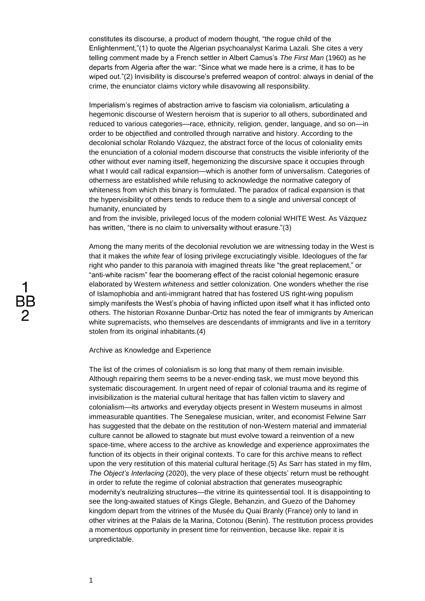constitutes its discourse, a product of modern thought, "the rogue child of the Enlightenment,"(1) to quote the Algerian psychoanalyst Karima Lazali. She cites a very telling comment made by a French settler in Albert Camus's *The First Man* (1960) as he departs from Algeria after the war: "Since what we made here is a crime, it has to be wiped out."(2) Invisibility is discourse's preferred weapon of control: always in denial of the crime, the enunciator claims victory while disavowing all responsibility.

Imperialism's regimes of abstraction arrive to fascism via colonialism, articulating a hegemonic discourse of Western heroism that is superior to all others, subordinated and reduced to various categories—race, ethnicity, religion, gender, language, and so on—in order to be objectified and controlled through narrative and history. According to the decolonial scholar Rolando Vázquez, the abstract force of the locus of coloniality emits the enunciation of a colonial modern discourse that constructs the visible inferiority of the other without ever naming itself, hegemonizing the discursive space it occupies through what I would call radical expansion—which is another form of universalism. Categories of otherness are established while refusing to acknowledge the normative category of whiteness from which this binary is formulated. The paradox of radical expansion is that the hypervisibility of others tends to reduce them to a single and universal concept of humanity, enunciated by

and from the invisible, privileged locus of the modern colonial WHITE West. As Vázquez has written, "there is no claim to universality without erasure."(3)

Among the many merits of the decolonial revolution we are witnessing today in the West is that it makes the *white* fear of losing privilege excruciatingly visible. Ideologues of the far right who pander to this paranoia with imagined threats like "the great replacement," or "anti-white racism" fear the boomerang effect of the racist colonial hegemonic erasure elaborated by Western *whiteness* and settler colonization. One wonders whether the rise of Islamophobia and anti-immigrant hatred that has fostered US right-wing populism simply manifests the West's phobia of having inflicted upon itself what it has inflicted onto others. The historian Roxanne Dunbar-Ortiz has noted the fear of immigrants by American white supremacists, who themselves are descendants of immigrants and live in a territory stolen from its original inhabitants.(4)

Archive as Knowledge and Experience

The list of the crimes of colonialism is so long that many of them remain invisible. Although repairing them seems to be a never-ending task, we must move beyond this systematic discouragement. In urgent need of repair of colonial trauma and its regime of invisibilization is the material cultural heritage that has fallen victim to slavery and colonialism—its artworks and everyday objects present in Western museums in almost immeasurable quantities. The Senegalese musician, writer, and economist Felwine Sarr has suggested that the debate on the restitution of non-Western material and immaterial culture cannot be allowed to stagnate but must evolve toward a reinvention of a new space-time, where access to the archive as knowledge and experience approximates the function of its objects in their original contexts. To care for this archive means to reflect upon the very restitution of this material cultural heritage.(5) As Sarr has stated in my film, *The Object's Interlacing* (2020), the very place of these objects' return must be rethought in order to refute the regime of colonial abstraction that generates museographic modernity's neutralizing structures—the vitrine its quintessential tool. It is disappointing to see the long-awaited statues of Kings Glegle, Behanzin, and Guezo of the Dahomey kingdom depart from the vitrines of the Musée du Quai Branly (France) only to land in other vitrines at the Palais de la Marina, Cotonou (Benin). The restitution process provides a momentous opportunity in present time for reinvention, because like. repair it is unpredictable.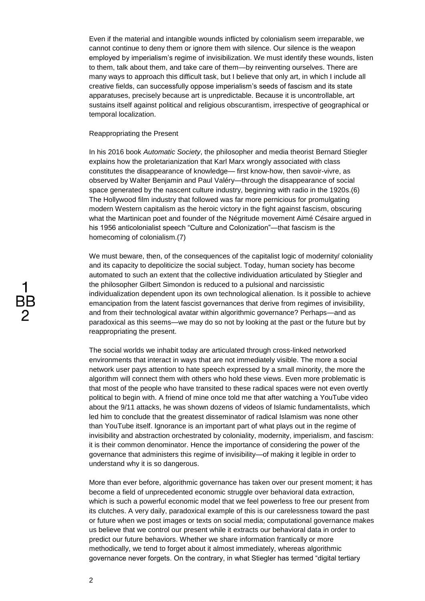Even if the material and intangible wounds inflicted by colonialism seem irreparable, we cannot continue to deny them or ignore them with silence. Our silence is the weapon employed by imperialism's regime of invisibilization. We must identify these wounds, listen to them, talk about them, and take care of them—by reinventing ourselves. There are many ways to approach this difficult task, but I believe that only art, in which I include all creative fields, can successfully oppose imperialism's seeds of fascism and its state apparatuses, precisely because art is unpredictable. Because it is uncontrollable, art sustains itself against political and religious obscurantism, irrespective of geographical or temporal localization.

# Reappropriating the Present

In his 2016 book *Automatic Society*, the philosopher and media theorist Bernard Stiegler explains how the proletarianization that Karl Marx wrongly associated with class constitutes the disappearance of knowledge— first know-how, then savoir-vivre, as observed by Walter Benjamin and Paul Valéry—through the disappearance of social space generated by the nascent culture industry, beginning with radio in the 1920s.(6) The Hollywood film industry that followed was far more pernicious for promulgating modern Western capitalism as the heroic victory in the fight against fascism, obscuring what the Martinican poet and founder of the Négritude movement Aimé Césaire argued in his 1956 anticolonialist speech "Culture and Colonization"—that fascism is the homecoming of colonialism.(7)

We must beware, then, of the consequences of the capitalist logic of modernity/ coloniality and its capacity to depoliticize the social subject. Today, human society has become automated to such an extent that the collective individuation articulated by Stiegler and the philosopher Gilbert Simondon is reduced to a pulsional and narcissistic individualization dependent upon its own technological alienation. Is it possible to achieve emancipation from the latent fascist governances that derive from regimes of invisibility, and from their technological avatar within algorithmic governance? Perhaps—and as paradoxical as this seems—we may do so not by looking at the past or the future but by reappropriating the present.

The social worlds we inhabit today are articulated through cross-linked networked environments that interact in ways that are not immediately visible. The more a social network user pays attention to hate speech expressed by a small minority, the more the algorithm will connect them with others who hold these views. Even more problematic is that most of the people who have transited to these radical spaces were not even overtly political to begin with. A friend of mine once told me that after watching a YouTube video about the 9/11 attacks, he was shown dozens of videos of Islamic fundamentalists, which led him to conclude that the greatest disseminator of radical Islamism was none other than YouTube itself. Ignorance is an important part of what plays out in the regime of invisibility and abstraction orchestrated by coloniality, modernity, imperialism, and fascism: it is their common denominator. Hence the importance of considering the power of the governance that administers this regime of invisibility—of making it legible in order to understand why it is so dangerous.

More than ever before, algorithmic governance has taken over our present moment; it has become a field of unprecedented economic struggle over behavioral data extraction, which is such a powerful economic model that we feel powerless to free our present from its clutches. A very daily, paradoxical example of this is our carelessness toward the past or future when we post images or texts on social media; computational governance makes us believe that we control our present while it extracts our behavioral data in order to predict our future behaviors. Whether we share information frantically or more methodically, we tend to forget about it almost immediately, whereas algorithmic governance never forgets. On the contrary, in what Stiegler has termed "digital tertiary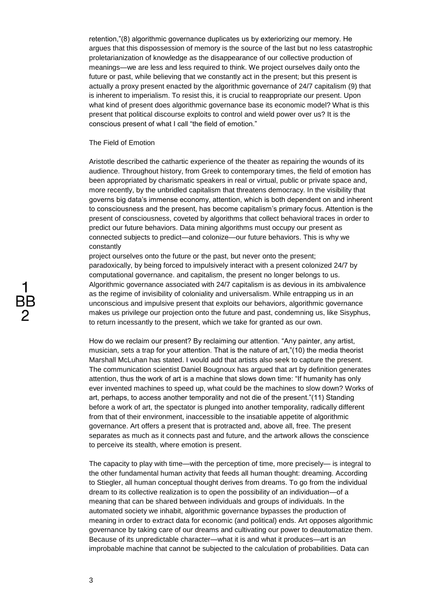retention,"(8) algorithmic governance duplicates us by exteriorizing our memory. He argues that this dispossession of memory is the source of the last but no less catastrophic proletarianization of knowledge as the disappearance of our collective production of meanings—we are less and less required to think. We project ourselves daily onto the future or past, while believing that we constantly act in the present; but this present is actually a proxy present enacted by the algorithmic governance of 24/7 capitalism (9) that is inherent to imperialism. To resist this, it is crucial to reappropriate our present. Upon what kind of present does algorithmic governance base its economic model? What is this present that political discourse exploits to control and wield power over us? It is the conscious present of what I call "the field of emotion."

The Field of Emotion

Aristotle described the cathartic experience of the theater as repairing the wounds of its audience. Throughout history, from Greek to contemporary times, the field of emotion has been appropriated by charismatic speakers in real or virtual, public or private space and, more recently, by the unbridled capitalism that threatens democracy. In the visibility that governs big data's immense economy, attention, which is both dependent on and inherent to consciousness and the present, has become capitalism's primary focus. Attention is the present of consciousness, coveted by algorithms that collect behavioral traces in order to predict our future behaviors. Data mining algorithms must occupy our present as connected subjects to predict—and colonize—our future behaviors. This is why we constantly

project ourselves onto the future or the past, but never onto the present; paradoxically, by being forced to impulsively interact with a present colonized 24/7 by computational governance. and capitalism, the present no longer belongs to us. Algorithmic governance associated with 24/7 capitalism is as devious in its ambivalence as the regime of invisibility of coloniality and universalism. While entrapping us in an unconscious and impulsive present that exploits our behaviors, algorithmic governance makes us privilege our projection onto the future and past, condemning us, like Sisyphus, to return incessantly to the present, which we take for granted as our own.

How do we reclaim our present? By reclaiming our attention. "Any painter, any artist, musician, sets a trap for your attention. That is the nature of art,"(10) the media theorist Marshall McLuhan has stated. I would add that artists also seek to capture the present. The communication scientist Daniel Bougnoux has argued that art by definition generates attention, thus the work of art is a machine that slows down time: "If humanity has only ever invented machines to speed up, what could be the machines to slow down? Works of art, perhaps, to access another temporality and not die of the present."(11) Standing before a work of art, the spectator is plunged into another temporality, radically different from that of their environment, inaccessible to the insatiable appetite of algorithmic governance. Art offers a present that is protracted and, above all, free. The present separates as much as it connects past and future, and the artwork allows the conscience to perceive its stealth, where emotion is present.

The capacity to play with time—with the perception of time, more precisely— is integral to the other fundamental human activity that feeds all human thought: dreaming. According to Stiegler, all human conceptual thought derives from dreams. To go from the individual dream to its collective realization is to open the possibility of an individuation—of a meaning that can be shared between individuals and groups of individuals. In the automated society we inhabit, algorithmic governance bypasses the production of meaning in order to extract data for economic (and political) ends. Art opposes algorithmic governance by taking care of our dreams and cultivating our power to deautomatize them. Because of its unpredictable character—what it is and what it produces—art is an improbable machine that cannot be subjected to the calculation of probabilities. Data can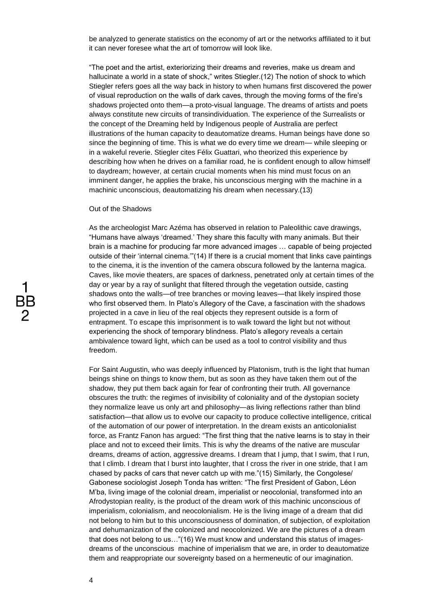be analyzed to generate statistics on the economy of art or the networks affiliated to it but it can never foresee what the art of tomorrow will look like.

"The poet and the artist, exteriorizing their dreams and reveries, make us dream and hallucinate a world in a state of shock," writes Stiegler.(12) The notion of shock to which Stiegler refers goes all the way back in history to when humans first discovered the power of visual reproduction on the walls of dark caves, through the moving forms of the fire's shadows projected onto them—a proto-visual language. The dreams of artists and poets always constitute new circuits of transindividuation. The experience of the Surrealists or the concept of the Dreaming held by Indigenous people of Australia are perfect illustrations of the human capacity to deautomatize dreams. Human beings have done so since the beginning of time. This is what we do every time we dream— while sleeping or in a wakeful reverie. Stiegler cites Félix Guattari, who theorized this experience by describing how when he drives on a familiar road, he is confident enough to allow himself to daydream; however, at certain crucial moments when his mind must focus on an imminent danger, he applies the brake, his unconscious merging with the machine in a machinic unconscious, deautomatizing his dream when necessary.(13)

# Out of the Shadows

As the archeologist Marc Azéma has observed in relation to Paleolithic cave drawings, "Humans have always 'dreamed.' They share this faculty with many animals. But their brain is a machine for producing far more advanced images … capable of being projected outside of their 'internal cinema.'"(14) If there is a crucial moment that links cave paintings to the cinema, it is the invention of the camera obscura followed by the lanterna magica. Caves, like movie theaters, are spaces of darkness, penetrated only at certain times of the day or year by a ray of sunlight that filtered through the vegetation outside, casting shadows onto the walls—of tree branches or moving leaves—that likely inspired those who first observed them. In Plato's Allegory of the Cave, a fascination with the shadows projected in a cave in lieu of the real objects they represent outside is a form of entrapment. To escape this imprisonment is to walk toward the light but not without experiencing the shock of temporary blindness. Plato's allegory reveals a certain ambivalence toward light, which can be used as a tool to control visibility and thus freedom.

For Saint Augustin, who was deeply influenced by Platonism, truth is the light that human beings shine on things to know them, but as soon as they have taken them out of the shadow, they put them back again for fear of confronting their truth. All governance obscures the truth: the regimes of invisibility of coloniality and of the dystopian society they normalize leave us only art and philosophy—as living reflections rather than blind satisfaction—that allow us to evolve our capacity to produce collective intelligence, critical of the automation of our power of interpretation. In the dream exists an anticolonialist force, as Frantz Fanon has argued: "The first thing that the native learns is to stay in their place and not to exceed their limits. This is why the dreams of the native are muscular dreams, dreams of action, aggressive dreams. I dream that I jump, that I swim, that I run, that I climb. I dream that I burst into laughter, that I cross the river in one stride, that I am chased by packs of cars that never catch up with me."(15) Similarly, the Congolese/ Gabonese sociologist Joseph Tonda has written: "The first President of Gabon, Léon M'ba, living image of the colonial dream, imperialist or neocolonial, transformed into an Afrodystopian reality, is the product of the dream work of this machinic unconscious of imperialism, colonialism, and neocolonialism. He is the living image of a dream that did not belong to him but to this unconsciousness of domination, of subjection, of exploitation and dehumanization of the colonized and neocolonized. We are the pictures of a dream that does not belong to us…"(16) We must know and understand this status of imagesdreams of the unconscious machine of imperialism that we are, in order to deautomatize them and reappropriate our sovereignty based on a hermeneutic of our imagination.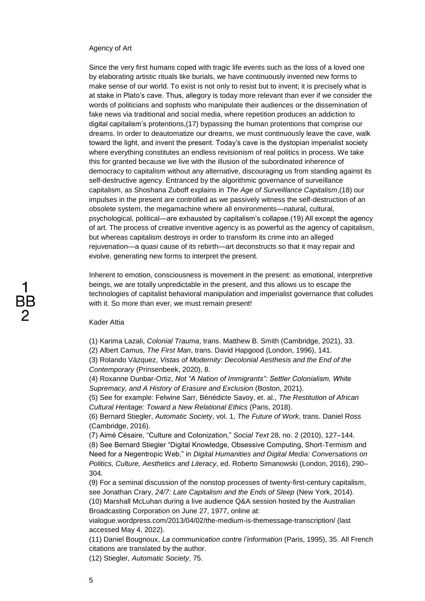#### Agency of Art

Since the very first humans coped with tragic life events such as the loss of a loved one by elaborating artistic rituals like burials, we have continuously invented new forms to make sense of our world. To exist is not only to resist but to invent; it is precisely what is at stake in Plato's cave. Thus, allegory is today more relevant than ever if we consider the words of politicians and sophists who manipulate their audiences or the dissemination of fake news via traditional and social media, where repetition produces an addiction to digital capitalism's protentions,(17) bypassing the human protentions that comprise our dreams. In order to deautomatize our dreams, we must continuously leave the cave, walk toward the light, and invent the present. Today's cave is the dystopian imperialist society where everything constitutes an endless revisionism of real politics in process. We take this for granted because we live with the illusion of the subordinated inherence of democracy to capitalism without any alternative, discouraging us from standing against its self-destructive agency. Entranced by the algorithmic governance of surveillance capitalism, as Shoshana Zuboff explains in *The Age of Surveillance Capitalism*,(18) our impulses in the present are controlled as we passively witness the self-destruction of an obsolete system, the megamachine where all environments—natural, cultural, psychological, political—are exhausted by capitalism's collapse.(19) All except the agency of art. The process of creative inventive agency is as powerful as the agency of capitalism, but whereas capitalism destroys in order to transform its crime into an alleged rejuvenation—a quasi cause of its rebirth—art deconstructs so that it may repair and evolve, generating new forms to interpret the present.

Inherent to emotion, consciousness is movement in the present: as emotional, interpretive beings, we are totally unpredictable in the present, and this allows us to escape the technologies of capitalist behavioral manipulation and imperialist governance that colludes with it. So more than ever, we must remain present!

#### Kader Attia

(1) Karima Lazali, *Colonial Trauma*, trans. Matthew B. Smith (Cambridge, 2021), 33. (2) Albert Camus, *The First Man*, trans. David Hapgood (London, 1996), 141.

(3) Rolando Vázquez, *Vistas of Modernity: Decolonial Aesthesis and the End of the Contemporary* (Prinsenbeek, 2020), 8.

(4) Roxanne Dunbar-Ortiz, *Not "A Nation of Immigrants": Settler Colonialism, White Supremacy, and A History of Erasure and Exclusion* (Boston, 2021).

(5) See for example: Felwine Sarr, Bénédicte Savoy, et. al., *The Restitution of African Cultural Heritage: Toward a New Relational Ethics* (Paris, 2018).

(6) Bernard Stiegler, *Automatic Society*, vol. 1, *The Future of Work*, trans. Daniel Ross (Cambridge, 2016).

(7) Aimé Césaire, "Culture and Colonization," *Social Text* 28, no. 2 (2010), 127–144.

(8) See Bernard Stiegler "Digital Knowledge, Obsessive Computing, Short-Termism and Need for a Negentropic Web," in *Digital Humanities and Digital Media: Conversations on Politics, Culture, Aesthetics and Literacy*, ed. Roberto Simanowski (London, 2016), 290– 304.

(9) For a seminal discussion of the nonstop processes of twenty-first-century capitalism, see Jonathan Crary, *24/7: Late Capitalism and the Ends of Sleep* (New York, 2014).

(10) Marshall McLuhan during a live audience Q&A session hosted by the Australian Broadcasting Corporation on June 27, 1977, online at:

vialogue.wordpress.com/2013/04/02/the-medium-is-themessage-transcription/ (last accessed May 4, 2022).

(11) Daniel Bougnoux, *La communication contre l'information* (Paris, 1995), 35. All French citations are translated by the author.

(12) Stiegler, *Automatic Society*, 75.